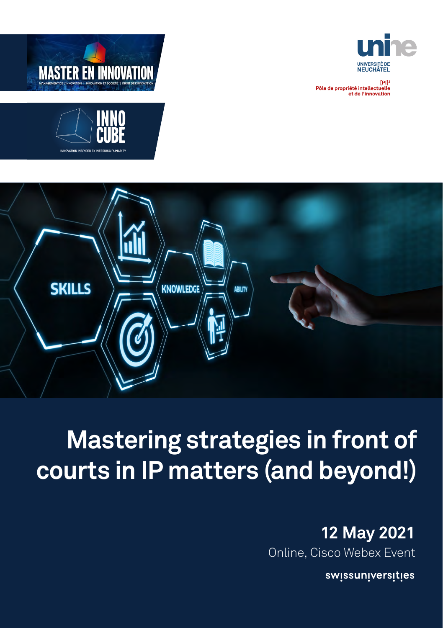

?[PI]<br>Pôle de propriété intellectuelle<br>et de l'innovation







# **Mastering strategies in front of courts in IP matters (and beyond!)**

## **12 May 2021**

Online, Cisco Webex Event

swissuniversities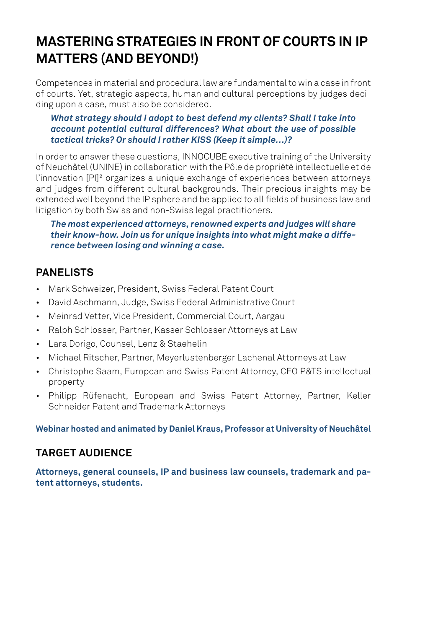## **MASTERING STRATEGIES IN FRONT OF COURTS IN IP MATTERS (AND BEYOND!)**

Competences in material and procedural law are fundamental to win a case in front of courts. Yet, strategic aspects, human and cultural perceptions by judges deciding upon a case, must also be considered.

#### *What strategy should I adopt to best defend my clients? Shall I take into account potential cultural differences? What about the use of possible tactical tricks? Or should I rather KISS (Keep it simple…)?*

In order to answer these questions, INNOCUBE executive training of the University of Neuchâtel (UNINE) in collaboration with the Pôle de propriété intellectuelle et de l'innovation [PI]² organizes a unique exchange of experiences between attorneys and judges from different cultural backgrounds. Their precious insights may be extended well beyond the IP sphere and be applied to all fields of business law and litigation by both Swiss and non-Swiss legal practitioners.

*The most experienced attorneys, renowned experts and judges will share their know-how. Join us for unique insights into what might make a difference between losing and winning a case.*

## **PANELISTS**

- Mark Schweizer, President, Swiss Federal Patent Court
- David Aschmann, Judge, Swiss Federal Administrative Court
- Meinrad Vetter, Vice President, Commercial Court, Aargau
- Ralph Schlosser, Partner, Kasser Schlosser Attorneys at Law
- Lara Dorigo, Counsel, Lenz & Staehelin
- Michael Ritscher, Partner, Meyerlustenberger Lachenal Attorneys at Law
- Christophe Saam, European and Swiss Patent Attorney, CEO P&TS intellectual property
- Philipp Rüfenacht, European and Swiss Patent Attorney, Partner, Keller Schneider Patent and Trademark Attorneys

**Webinar hosted and animated by Daniel Kraus, Professor at University of Neuchâtel**

### **TARGET AUDIENCE**

**Attorneys, general counsels, IP and business law counsels, trademark and patent attorneys, students.**